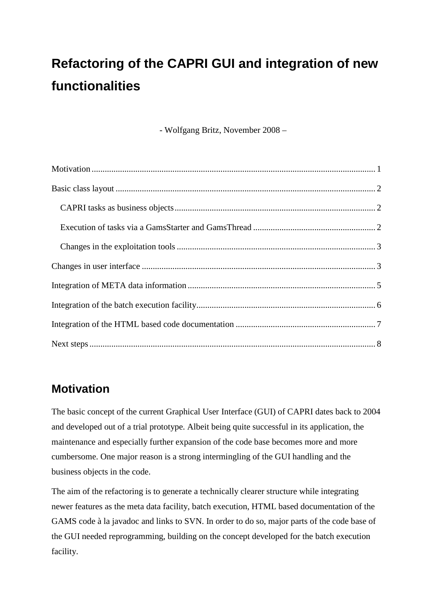# **Refactoring of the CAPRI GUI and integration of new functionalities**

- Wolfgang Britz, November 2008 –

# **Motivation**

The basic concept of the current Graphical User Interface (GUI) of CAPRI dates back to 2004 and developed out of a trial prototype. Albeit being quite successful in its application, the maintenance and especially further expansion of the code base becomes more and more cumbersome. One major reason is a strong intermingling of the GUI handling and the business objects in the code.

The aim of the refactoring is to generate a technically clearer structure while integrating newer features as the meta data facility, batch execution, HTML based documentation of the GAMS code à la javadoc and links to SVN. In order to do so, major parts of the code base of the GUI needed reprogramming, building on the concept developed for the batch execution facility.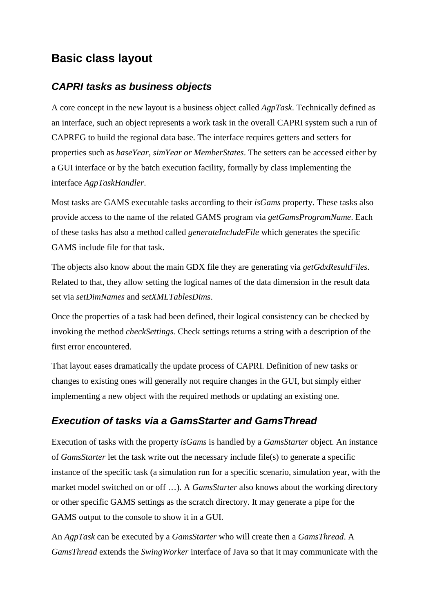# **Basic class layout**

### *CAPRI tasks as business objects*

A core concept in the new layout is a business object called *AgpTask*. Technically defined as an interface, such an object represents a work task in the overall CAPRI system such a run of CAPREG to build the regional data base. The interface requires getters and setters for properties such as *baseYear*, *simYear or MemberStates*. The setters can be accessed either by a GUI interface or by the batch execution facility, formally by class implementing the interface *AgpTaskHandler*.

Most tasks are GAMS executable tasks according to their *isGams* property. These tasks also provide access to the name of the related GAMS program via *getGamsProgramName*. Each of these tasks has also a method called *generateIncludeFile* which generates the specific GAMS include file for that task.

The objects also know about the main GDX file they are generating via *getGdxResultFiles*. Related to that, they allow setting the logical names of the data dimension in the result data set via *setDimNames* and *setXMLTablesDims*.

Once the properties of a task had been defined, their logical consistency can be checked by invoking the method *checkSettings.* Check settings returns a string with a description of the first error encountered.

That layout eases dramatically the update process of CAPRI. Definition of new tasks or changes to existing ones will generally not require changes in the GUI, but simply either implementing a new object with the required methods or updating an existing one.

### *Execution of tasks via a GamsStarter and GamsThread*

Execution of tasks with the property *isGams* is handled by a *GamsStarter* object. An instance of *GamsStarter* let the task write out the necessary include file(s) to generate a specific instance of the specific task (a simulation run for a specific scenario, simulation year, with the market model switched on or off …). A *GamsStarter* also knows about the working directory or other specific GAMS settings as the scratch directory. It may generate a pipe for the GAMS output to the console to show it in a GUI.

An *AgpTask* can be executed by a *GamsStarter* who will create then a *GamsThread*. A *GamsThread* extends the *SwingWorker* interface of Java so that it may communicate with the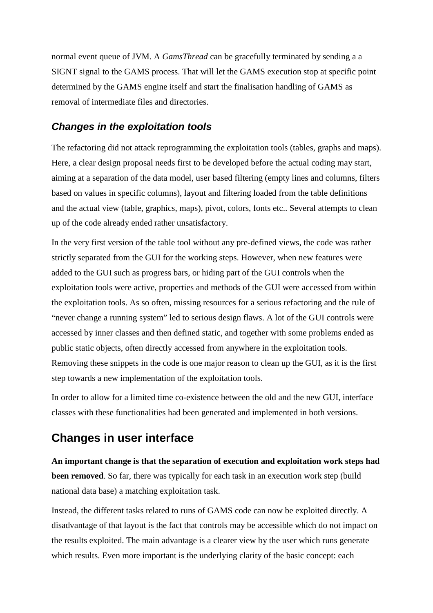normal event queue of JVM. A *GamsThread* can be gracefully terminated by sending a a SIGNT signal to the GAMS process. That will let the GAMS execution stop at specific point determined by the GAMS engine itself and start the finalisation handling of GAMS as removal of intermediate files and directories.

#### *Changes in the exploitation tools*

The refactoring did not attack reprogramming the exploitation tools (tables, graphs and maps). Here, a clear design proposal needs first to be developed before the actual coding may start, aiming at a separation of the data model, user based filtering (empty lines and columns, filters based on values in specific columns), layout and filtering loaded from the table definitions and the actual view (table, graphics, maps), pivot, colors, fonts etc.. Several attempts to clean up of the code already ended rather unsatisfactory.

In the very first version of the table tool without any pre-defined views, the code was rather strictly separated from the GUI for the working steps. However, when new features were added to the GUI such as progress bars, or hiding part of the GUI controls when the exploitation tools were active, properties and methods of the GUI were accessed from within the exploitation tools. As so often, missing resources for a serious refactoring and the rule of "never change a running system" led to serious design flaws. A lot of the GUI controls were accessed by inner classes and then defined static, and together with some problems ended as public static objects, often directly accessed from anywhere in the exploitation tools. Removing these snippets in the code is one major reason to clean up the GUI, as it is the first step towards a new implementation of the exploitation tools.

In order to allow for a limited time co-existence between the old and the new GUI, interface classes with these functionalities had been generated and implemented in both versions.

# **Changes in user interface**

**An important change is that the separation of execution and exploitation work steps had been removed**. So far, there was typically for each task in an execution work step (build national data base) a matching exploitation task.

Instead, the different tasks related to runs of GAMS code can now be exploited directly. A disadvantage of that layout is the fact that controls may be accessible which do not impact on the results exploited. The main advantage is a clearer view by the user which runs generate which results. Even more important is the underlying clarity of the basic concept: each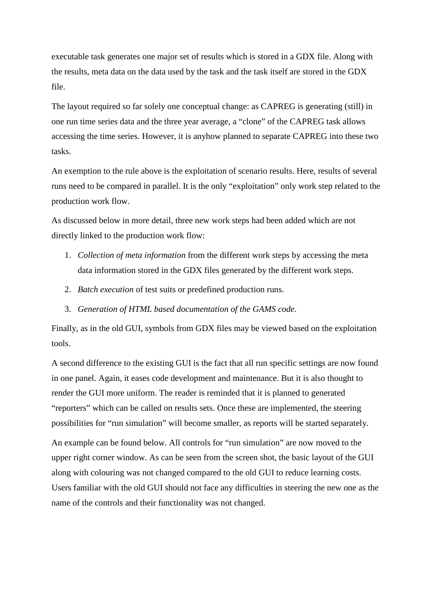executable task generates one major set of results which is stored in a GDX file. Along with the results, meta data on the data used by the task and the task itself are stored in the GDX file.

The layout required so far solely one conceptual change: as CAPREG is generating (still) in one run time series data and the three year average, a "clone" of the CAPREG task allows accessing the time series. However, it is anyhow planned to separate CAPREG into these two tasks.

An exemption to the rule above is the exploitation of scenario results. Here, results of several runs need to be compared in parallel. It is the only "exploitation" only work step related to the production work flow.

As discussed below in more detail, three new work steps had been added which are not directly linked to the production work flow:

- 1. *Collection of meta information* from the different work steps by accessing the meta data information stored in the GDX files generated by the different work steps.
- 2. *Batch execution* of test suits or predefined production runs.
- 3. *Generation of HTML based documentation of the GAMS code*.

Finally, as in the old GUI, symbols from GDX files may be viewed based on the exploitation tools.

A second difference to the existing GUI is the fact that all run specific settings are now found in one panel. Again, it eases code development and maintenance. But it is also thought to render the GUI more uniform. The reader is reminded that it is planned to generated "reporters" which can be called on results sets. Once these are implemented, the steering possibilities for "run simulation" will become smaller, as reports will be started separately. An example can be found below. All controls for "run simulation" are now moved to the upper right corner window. As can be seen from the screen shot, the basic layout of the GUI along with colouring was not changed compared to the old GUI to reduce learning costs. Users familiar with the old GUI should not face any difficulties in steering the new one as the name of the controls and their functionality was not changed.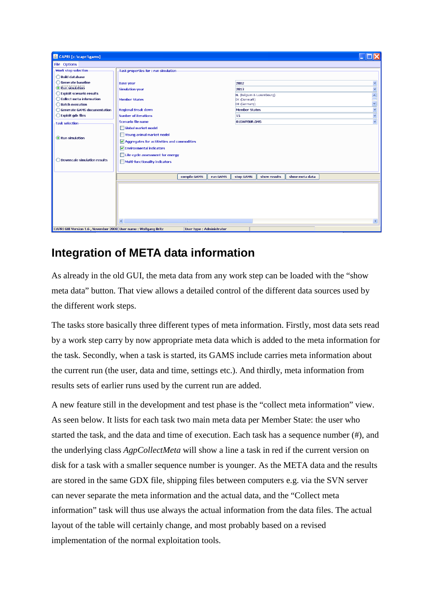| CAPRI [c:\capri\gams]                          |                                                                                                                                                                                                                                                                                                   |                           |
|------------------------------------------------|---------------------------------------------------------------------------------------------------------------------------------------------------------------------------------------------------------------------------------------------------------------------------------------------------|---------------------------|
| File Options                                   |                                                                                                                                                                                                                                                                                                   |                           |
| Work step selection                            | Task properties for : run simulation                                                                                                                                                                                                                                                              |                           |
| Build database                                 |                                                                                                                                                                                                                                                                                                   |                           |
| Generate baseline                              | 2002<br><b>Base year</b>                                                                                                                                                                                                                                                                          | $\overline{\mathbf{v}}$   |
| Run simulation                                 | <b>Simulation year</b><br>2013                                                                                                                                                                                                                                                                    |                           |
| ◯ Exploit scenario results                     | BL (Belgium & Luxembourg)                                                                                                                                                                                                                                                                         | $\boldsymbol{\mathsf{A}}$ |
| ◯ Collect meta information                     | <b>Member States</b><br>DK (Denmark)                                                                                                                                                                                                                                                              | $\ddot{\phantom{0}}$      |
| ◯ Batch execution                              | DE (Germany)                                                                                                                                                                                                                                                                                      |                           |
| ◯ Generate GAMS documentation                  | <b>Regional Break down</b><br><b>Member States</b>                                                                                                                                                                                                                                                |                           |
| Exploit gdx files                              | Number of iterations<br>15                                                                                                                                                                                                                                                                        |                           |
| <b>Task selection</b>                          | Scenario file name<br>01GWPBUR.GMS                                                                                                                                                                                                                                                                |                           |
| Run simulation<br>Downscale simulation results | Global market model<br>Young animal market model<br>$\sqrt{\phantom{a}}$ Aggregates for actitivities and commodities<br>Environmental indicators<br>Life-cycle assessment for energy<br>Multi-functionality indicators<br>compile GAMS<br>run GAMS<br>stop GAMS<br>show results<br>show meta data |                           |
|                                                |                                                                                                                                                                                                                                                                                                   |                           |
|                                                | $\overline{\phantom{a}}$<br>m.                                                                                                                                                                                                                                                                    | $\rightarrow$             |

# **Integration of META data information**

As already in the old GUI, the meta data from any work step can be loaded with the "show meta data" button. That view allows a detailed control of the different data sources used by the different work steps.

The tasks store basically three different types of meta information. Firstly, most data sets read by a work step carry by now appropriate meta data which is added to the meta information for the task. Secondly, when a task is started, its GAMS include carries meta information about the current run (the user, data and time, settings etc.). And thirdly, meta information from results sets of earlier runs used by the current run are added.

A new feature still in the development and test phase is the "collect meta information" view. As seen below. It lists for each task two main meta data per Member State: the user who started the task, and the data and time of execution. Each task has a sequence number  $(\#)$ , and the underlying class *AgpCollectMeta* will show a line a task in red if the current version on disk for a task with a smaller sequence number is younger. As the META data and the results are stored in the same GDX file, shipping files between computers e.g. via the SVN server can never separate the meta information and the actual data, and the "Collect meta information" task will thus use always the actual information from the data files. The actual layout of the table will certainly change, and most probably based on a revised implementation of the normal exploitation tools.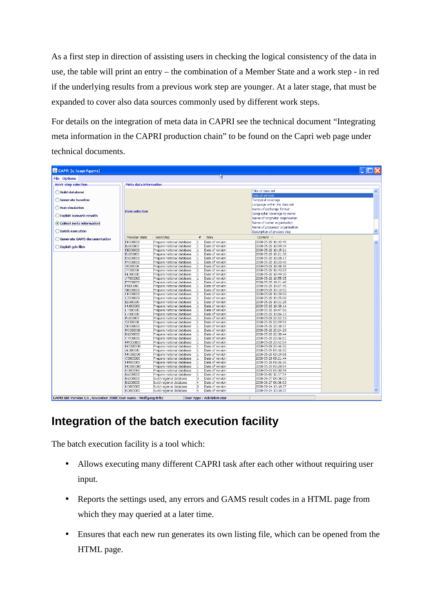As a first step in direction of assisting users in checking the logical consistency of the data in use, the table will print an entry – the combination of a Member State and a work step - in red if the underlying results from a previous work step are younger. At a later stage, that must be expanded to cover also data sources commonly used by different work steps.

For details on the integration of meta data in CAPRI see the technical document "Integrating meta information in the CAPRI production chain" to be found on the Capri web page under technical documents.

| CAPRI [c:\capri\gams]                                          |                            |                                                        |                     |                                    |                                                               |                     |  |  |  |
|----------------------------------------------------------------|----------------------------|--------------------------------------------------------|---------------------|------------------------------------|---------------------------------------------------------------|---------------------|--|--|--|
| 丛<br>File Options                                              |                            |                                                        |                     |                                    |                                                               |                     |  |  |  |
| <b>Work step selection</b>                                     | Meta data information      |                                                        |                     |                                    |                                                               |                     |  |  |  |
| Build database                                                 |                            |                                                        |                     |                                    | Title of data set                                             | $\sim$              |  |  |  |
|                                                                |                            |                                                        |                     |                                    | Date of version                                               |                     |  |  |  |
| Generate baseline                                              |                            |                                                        |                     |                                    | Temporal coverage<br>Language within the data set             |                     |  |  |  |
| Run simulation                                                 |                            |                                                        |                     |                                    | Name of exchange format                                       |                     |  |  |  |
| Exploit scenario results                                       | <b>Item selection</b>      |                                                        |                     |                                    | Geographic coverage by name                                   |                     |  |  |  |
| • Collect meta information                                     |                            |                                                        |                     |                                    | Name of originator organisation<br>Name of owner organisation |                     |  |  |  |
|                                                                |                            |                                                        |                     |                                    | Name of processor organisation                                |                     |  |  |  |
| <b>Batch execution</b>                                         |                            |                                                        |                     |                                    | Description of process step                                   |                     |  |  |  |
| Generate GAMS documentation                                    | Member state               | WorkStep                                               | #                   | Item                               | Content $\triangle$                                           |                     |  |  |  |
|                                                                | <b>DK000000</b>            | Prepare national database                              |                     | Date of version                    | 2008-05-28 16:42:45                                           | $\hat{\phantom{a}}$ |  |  |  |
| Exploit adx files                                              | BL000000                   | Prepare national database                              |                     | Date of version                    | 2008-05-28 18:09:34                                           |                     |  |  |  |
|                                                                | <b>DE000000</b>            | Prepare national database                              |                     | Date of version                    | 2008-05-28 18:15:21                                           |                     |  |  |  |
|                                                                | EL000000                   | Prepare national database                              |                     | Date of version                    | 2008-05-28 18:21:30                                           |                     |  |  |  |
|                                                                | ES000000                   | Prepare national database                              |                     | Date of version                    | 2008-05-28 18:28:17                                           |                     |  |  |  |
|                                                                | FR000000                   | Prepare national database                              |                     | Date of version                    | 2008-05-28 18:33:40                                           |                     |  |  |  |
|                                                                | <b>IR000000</b>            | Prepare national database                              |                     | Date of version                    | 2008-05-28 18:38:36                                           |                     |  |  |  |
|                                                                | <b>IT000000</b>            | Prepare national database                              |                     | Date of version                    | 2008-05-28 18:43:29                                           |                     |  |  |  |
|                                                                | NL000000                   | Prepare national database                              |                     | Date of version                    | 2008-05-28 18:49:30                                           |                     |  |  |  |
|                                                                | AT000000                   | Prepare national database                              |                     | Date of version                    | 2008-05-28 18:55:35                                           |                     |  |  |  |
|                                                                | PT00000<br>FI000000        | Prepare national database<br>Prepare national database |                     | Date of version<br>Date of version | 2008-05-28 19:01:48<br>2008-05-28 19:07:45                    |                     |  |  |  |
|                                                                | SE000000                   | Prepare national database                              |                     | Date of version                    | 2008-05-28 19:13:52                                           |                     |  |  |  |
|                                                                | <b>UK000000</b>            | Prepare national database                              |                     | Date of version                    | 2008-05-28 19:19:09                                           |                     |  |  |  |
|                                                                | CZ000000                   | Prepare national database                              |                     | Date of version                    | 2008-05-28 19:25:08                                           |                     |  |  |  |
|                                                                | EE000000                   | Prepare national database                              |                     | Date of version                    | 2008-05-28 19:31:25                                           |                     |  |  |  |
|                                                                | <b>HU000000</b>            | Prepare national database                              |                     | Date of version                    | 2008-05-28 19:38:14                                           |                     |  |  |  |
|                                                                | LT000000                   | Prepare national database                              |                     | Date of version                    | 2008-05-28 19:47:06                                           |                     |  |  |  |
|                                                                | LV000000                   | Prepare national database                              |                     | Date of version                    | 2008-05-28 19:56:13                                           |                     |  |  |  |
|                                                                | PL000000                   | Prepare national database                              |                     | Date of version                    | 2008-05-28 20:02:10                                           |                     |  |  |  |
|                                                                | SI000000                   | Prepare national database                              |                     | Date of version                    | 2008-05-28 20:09:54                                           |                     |  |  |  |
|                                                                | SK000000                   | Prepare national database                              |                     | Date of version                    | 2008-05-28 20:18:37                                           |                     |  |  |  |
|                                                                | RO000000                   | Prepare national database                              |                     | Date of version                    | 2008-05-28 20:24:29                                           |                     |  |  |  |
|                                                                | <b>BG000000</b>            | Prepare national database                              |                     | Date of version                    | 2008-05-28 20:30:44                                           |                     |  |  |  |
|                                                                | CY000000                   | Prepare national database                              |                     | Date of version                    | 2008-05-28 20:36:51                                           |                     |  |  |  |
|                                                                | MT000000                   | Prepare national database                              |                     | Date of version                    | 2008-05-28 20:42:04                                           |                     |  |  |  |
|                                                                | NO000000                   | Prepare national database                              |                     | Date of version                    | 2008-05-28 20:46:32                                           |                     |  |  |  |
|                                                                | AL000000                   | Prepare national database                              |                     | Date of version                    | 2008-05-29 09:16:52                                           |                     |  |  |  |
|                                                                | <b>MK000000</b>            | Prepare national database                              |                     | Date of version                    | 2008-05-29 09:19:06                                           |                     |  |  |  |
|                                                                | CS000000                   | Prepare national database                              |                     | Date of version                    | 2008-05-29 09:21:44                                           |                     |  |  |  |
|                                                                | HR000000                   | Prepare national database                              |                     | Date of version                    | 2008-05-29 09:26:26                                           |                     |  |  |  |
|                                                                | MO000000                   | Prepare national database                              |                     | Date of version                    | 2008-05-29 09:28:54                                           |                     |  |  |  |
|                                                                | KO000000                   | Prepare national database                              |                     | Date of version                    | 2008-05-29 09:30:58                                           |                     |  |  |  |
|                                                                | <b>BA00000</b><br>BG000000 | Prepare national database                              | 1                   | Date of version<br>Date of version | 2008-06-03 12:17:54                                           |                     |  |  |  |
|                                                                | BG000000                   | Build regional database<br>Build regional database     | з<br>$\overline{4}$ | Date of version                    | 2008-06-27 06:36:03                                           |                     |  |  |  |
|                                                                | KO000000                   | Build regional database                                | la.                 | Date of version                    | 2008-06-27 06:36:03<br>2008-09-24 13:10:37                    |                     |  |  |  |
|                                                                | KO000000                   | Build regional database                                |                     | Date of version                    | 2008-09-24 13:10:37                                           | $\checkmark$        |  |  |  |
|                                                                |                            |                                                        |                     |                                    |                                                               |                     |  |  |  |
| CAPRI GUI Version 1.6, November 2008 User name: Wolfgang Britz |                            |                                                        |                     | User type : Administrator          |                                                               |                     |  |  |  |

# **Integration of the batch execution facility**

The batch execution facility is a tool which:

- Allows executing many different CAPRI task after each other without requiring user input.
- Reports the settings used, any errors and GAMS result codes in a HTML page from which they may queried at a later time.
- Ensures that each new run generates its own listing file, which can be opened from the HTML page.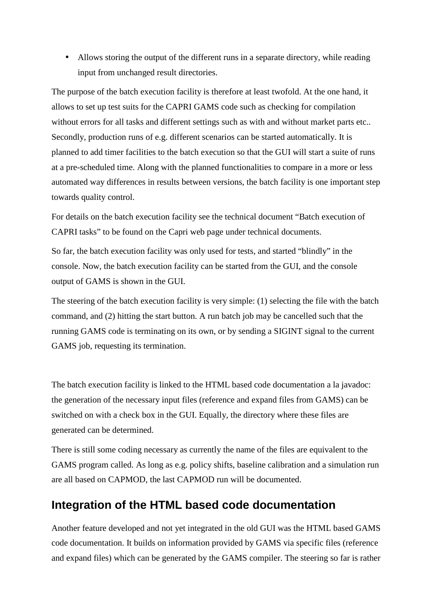• Allows storing the output of the different runs in a separate directory, while reading input from unchanged result directories.

The purpose of the batch execution facility is therefore at least twofold. At the one hand, it allows to set up test suits for the CAPRI GAMS code such as checking for compilation without errors for all tasks and different settings such as with and without market parts etc.. Secondly, production runs of e.g. different scenarios can be started automatically. It is planned to add timer facilities to the batch execution so that the GUI will start a suite of runs at a pre-scheduled time. Along with the planned functionalities to compare in a more or less automated way differences in results between versions, the batch facility is one important step towards quality control.

For details on the batch execution facility see the technical document "Batch execution of CAPRI tasks" to be found on the Capri web page under technical documents.

So far, the batch execution facility was only used for tests, and started "blindly" in the console. Now, the batch execution facility can be started from the GUI, and the console output of GAMS is shown in the GUI.

The steering of the batch execution facility is very simple: (1) selecting the file with the batch command, and (2) hitting the start button. A run batch job may be cancelled such that the running GAMS code is terminating on its own, or by sending a SIGINT signal to the current GAMS job, requesting its termination.

The batch execution facility is linked to the HTML based code documentation a la javadoc: the generation of the necessary input files (reference and expand files from GAMS) can be switched on with a check box in the GUI. Equally, the directory where these files are generated can be determined.

There is still some coding necessary as currently the name of the files are equivalent to the GAMS program called. As long as e.g. policy shifts, baseline calibration and a simulation run are all based on CAPMOD, the last CAPMOD run will be documented.

### **Integration of the HTML based code documentation**

Another feature developed and not yet integrated in the old GUI was the HTML based GAMS code documentation. It builds on information provided by GAMS via specific files (reference and expand files) which can be generated by the GAMS compiler. The steering so far is rather